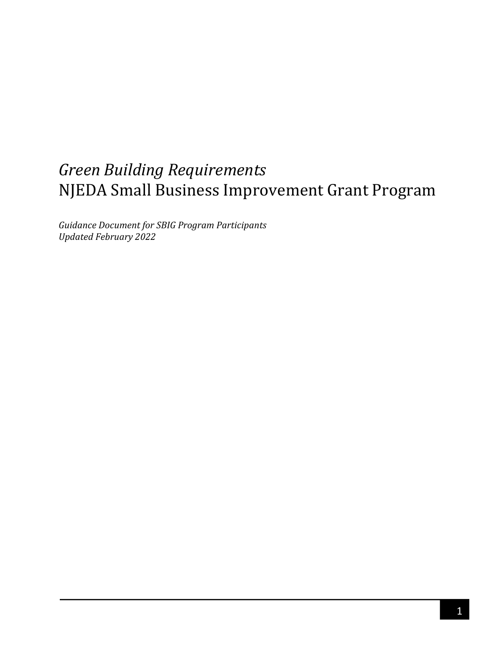# *Green Building Requirements*  NJEDA Small Business Improvement Grant Program

*Guidance Document for SBIG Program Participants Updated February 2022*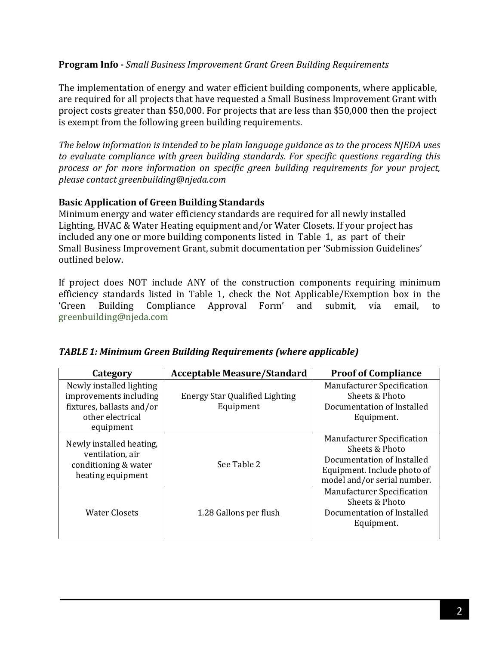#### **Program Info -** *Small Business Improvement Grant Green Building Requirements*

The implementation of energy and water efficient building components, where applicable, are required for all projects that have requested a Small Business Improvement Grant with project costs greater than \$50,000. For projects that are less than \$50,000 then the project is exempt from the following green building requirements.

*The below information is intended to be plain language guidance as to the process NJEDA uses to evaluate compliance with green building standards. For specific questions regarding this process or for more information on specific green building requirements for your project, please contact [greenbuilding@njeda.com](mailto:greenbuilding@njeda.com)*

#### **Basic Application of Green Building Standards**

Minimum energy and water efficiency standards are required for all newly installed Lighting, HVAC & Water Heating equipment and/or Water Closets. If your project has included any one or more building components listed in Table 1, as part of their Small Business Improvement Grant, submit documentation per 'Submission Guidelines' outlined below.

If project does NOT include ANY of the construction components requiring minimum efficiency standards listed in Table 1, check the Not Applicable/Exemption box in the 'Green Building Compliance Approval Form' and submit, via email, to Compliance Approval Form' [greenbuilding@njeda.com](mailto:rwisniewski@njeda.com)

| Category                                                                                                         | <b>Acceptable Measure/Standard</b>                 | <b>Proof of Compliance</b>                                                                                                                      |  |  |
|------------------------------------------------------------------------------------------------------------------|----------------------------------------------------|-------------------------------------------------------------------------------------------------------------------------------------------------|--|--|
| Newly installed lighting<br>improvements including<br>fixtures, ballasts and/or<br>other electrical<br>equipment | <b>Energy Star Qualified Lighting</b><br>Equipment | <b>Manufacturer Specification</b><br>Sheets & Photo<br>Documentation of Installed<br>Equipment.                                                 |  |  |
| Newly installed heating.<br>ventilation, air<br>conditioning & water<br>heating equipment                        | See Table 2                                        | <b>Manufacturer Specification</b><br>Sheets & Photo<br>Documentation of Installed<br>Equipment. Include photo of<br>model and/or serial number. |  |  |
| Water Closets                                                                                                    | 1.28 Gallons per flush                             | <b>Manufacturer Specification</b><br>Sheets & Photo<br>Documentation of Installed<br>Equipment.                                                 |  |  |

#### *TABLE 1: Minimum Green Building Requirements (where applicable)*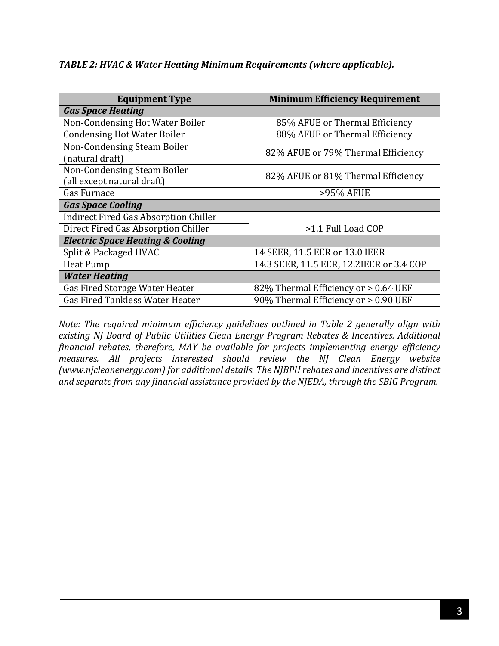*TABLE 2: HVAC & Water Heating Minimum Requirements (where applicable).*

| <b>Equipment Type</b>                                     | <b>Minimum Efficiency Requirement</b>    |  |  |  |
|-----------------------------------------------------------|------------------------------------------|--|--|--|
| <b>Gas Space Heating</b>                                  |                                          |  |  |  |
| Non-Condensing Hot Water Boiler                           | 85% AFUE or Thermal Efficiency           |  |  |  |
| <b>Condensing Hot Water Boiler</b>                        | 88% AFUE or Thermal Efficiency           |  |  |  |
| Non-Condensing Steam Boiler<br>(natural draft)            | 82% AFUE or 79% Thermal Efficiency       |  |  |  |
| Non-Condensing Steam Boiler<br>(all except natural draft) | 82% AFUE or 81% Thermal Efficiency       |  |  |  |
| Gas Furnace                                               | >95% AFUE                                |  |  |  |
| <b>Gas Space Cooling</b>                                  |                                          |  |  |  |
| <b>Indirect Fired Gas Absorption Chiller</b>              |                                          |  |  |  |
| Direct Fired Gas Absorption Chiller                       | >1.1 Full Load COP                       |  |  |  |
| <b>Electric Space Heating &amp; Cooling</b>               |                                          |  |  |  |
| Split & Packaged HVAC                                     | 14 SEER, 11.5 EER or 13.0 IEER           |  |  |  |
| <b>Heat Pump</b>                                          | 14.3 SEER, 11.5 EER, 12.2IEER or 3.4 COP |  |  |  |
| <b>Water Heating</b>                                      |                                          |  |  |  |
| Gas Fired Storage Water Heater                            | 82% Thermal Efficiency or > 0.64 UEF     |  |  |  |
| <b>Gas Fired Tankless Water Heater</b>                    | 90% Thermal Efficiency or > 0.90 UEF     |  |  |  |

*Note: The required minimum efficiency guidelines outlined in Table 2 generally align with existing NJ Board of Public Utilities Clean Energy Program Rebates & Incentives. Additional financial rebates, therefore, MAY be available for projects implementing energy efficiency measures. All projects interested should review the NJ Clean Energy website (www.njcleanenergy.com) for additional details. The NJBPU rebates and incentives are distinct and separate from any financial assistance provided by the NJEDA, through the SBIG Program.*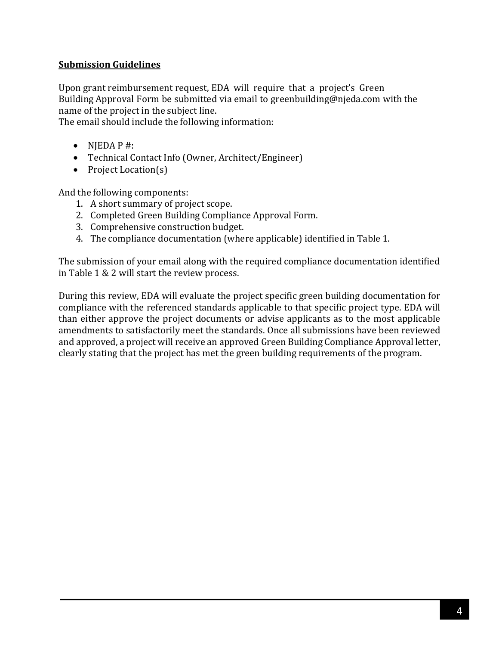#### **Submission Guidelines**

Upon grant reimbursement request, EDA will require that a project's Green Building Approval Form be submitted via email to [greenbuilding@njeda.com](mailto:greenbuilding@njeda.com) with the name of the project in the subject line.

The email should include the following information:

- $\bullet$  NJEDA P #:
- Technical Contact Info (Owner, Architect/Engineer)
- Project Location(s)

And the following components:

- 1. A short summary of project scope.
- 2. Completed Green Building Compliance Approval Form.
- 3. Comprehensive construction budget.
- 4. The compliance documentation (where applicable) identified in Table 1.

The submission of your email along with the required compliance documentation identified in Table 1 & 2 will start the review process.

During this review, EDA will evaluate the project specific green building documentation for compliance with the referenced standards applicable to that specific project type. EDA will than either approve the project documents or advise applicants as to the most applicable amendments to satisfactorily meet the standards. Once all submissions have been reviewed and approved, a project will receive an approved Green Building Compliance Approval letter, clearly stating that the project has met the green building requirements of the program.